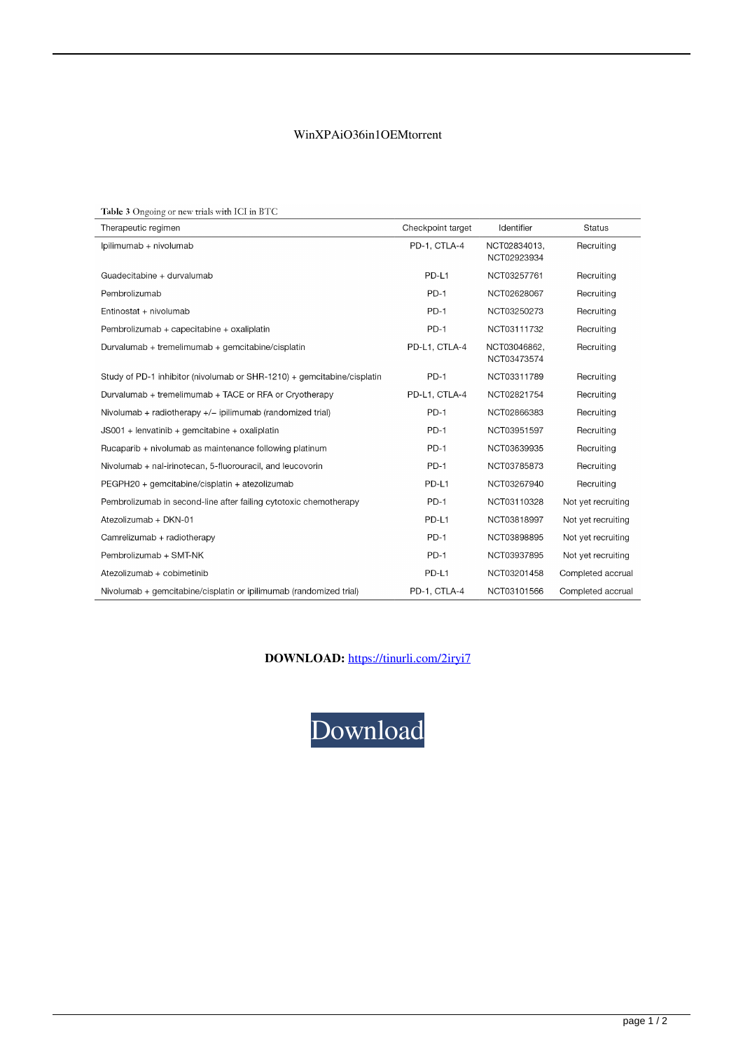## WinXPAiO36in1OEMtorrent

| Table 3 Ongoing or new trials with ICI in BTC                           |                   |                             |                    |
|-------------------------------------------------------------------------|-------------------|-----------------------------|--------------------|
| Therapeutic regimen                                                     | Checkpoint target | Identifier                  | <b>Status</b>      |
| Ipilimumab + nivolumab                                                  | PD-1, CTLA-4      | NCT02834013.<br>NCT02923934 | Recruiting         |
| Guadecitabine + durvalumab                                              | PD-L1             | NCT03257761                 | Recruiting         |
| Pembrolizumab                                                           | $PD-1$            | NCT02628067                 | Recruiting         |
| Entinostat + nivolumab                                                  | $PD-1$            | NCT03250273                 | Recruiting         |
| Pembrolizumab + capecitabine + oxaliplatin                              | $PD-1$            | NCT03111732                 | Recruiting         |
| Durvalumab + tremelimumab + gemcitabine/cisplatin                       | PD-L1, CTLA-4     | NCT03046862,<br>NCT03473574 | Recruiting         |
| Study of PD-1 inhibitor (nivolumab or SHR-1210) + gemcitabine/cisplatin | $PD-1$            | NCT03311789                 | Recruiting         |
| Durvalumab + tremelimumab + TACE or RFA or Cryotherapy                  | PD-L1, CTLA-4     | NCT02821754                 | Recruiting         |
| Nivolumab + radiotherapy +/- ipilimumab (randomized trial)              | $PD-1$            | NCT02866383                 | Recruiting         |
| $JS001 + lenvatinib + qemcitabine + oxaliplatin$                        | $PD-1$            | NCT03951597                 | Recruiting         |
| Rucaparib + nivolumab as maintenance following platinum                 | $PD-1$            | NCT03639935                 | Recruiting         |
| Nivolumab + nal-irinotecan, 5-fluorouracil, and leucovorin              | PD-1              | NCT03785873                 | Recruiting         |
| PEGPH20 + gemcitabine/cisplatin + atezolizumab                          | PD-L1             | NCT03267940                 | Recruiting         |
| Pembrolizumab in second-line after failing cytotoxic chemotherapy       | $PD-1$            | NCT03110328                 | Not yet recruiting |
| Atezolizumab + DKN-01                                                   | PD-L1             | NCT03818997                 | Not yet recruiting |
| Camrelizumab + radiotherapy                                             | $PD-1$            | NCT03898895                 | Not yet recruiting |
| Pembrolizumab + SMT-NK                                                  | $PD-1$            | NCT03937895                 | Not yet recruiting |
| Atezolizumab + cobimetinib                                              | PD-L1             | NCT03201458                 | Completed accrual  |
| Nivolumab + gemcitabine/cisplatin or ipilimumab (randomized trial)      | PD-1, CTLA-4      | NCT03101566                 | Completed accrual  |

DOWNLOAD: https://tinurli.com/2iryi7